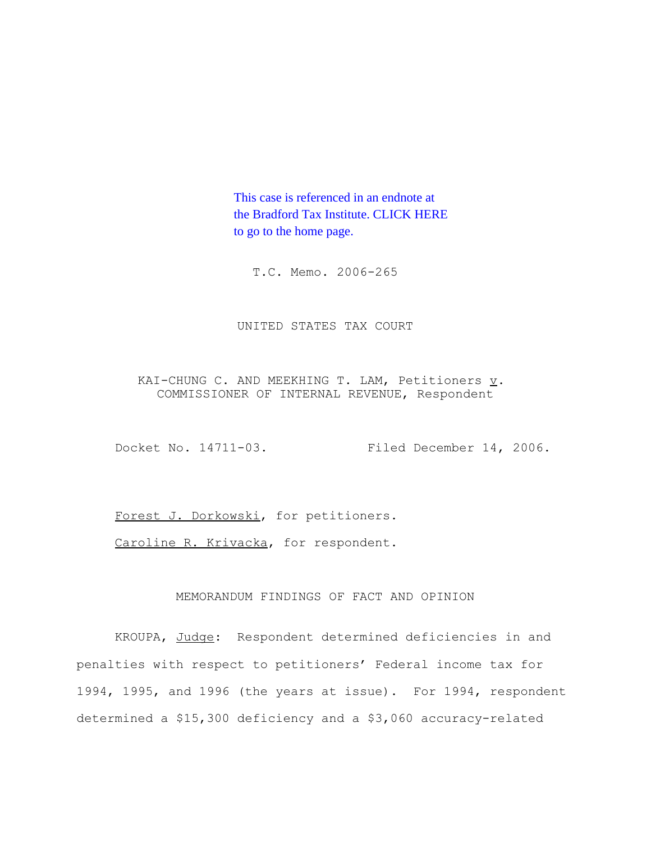This case is referenced in an endnote at [the Bradford Tax Institute. CLICK HERE](http://www.bradfordtaxinstitute.com/)  to go to the home page.

T.C. Memo. 2006-265

UNITED STATES TAX COURT

KAI-CHUNG C. AND MEEKHING T. LAM, Petitioners  $\underline{v}$ . COMMISSIONER OF INTERNAL REVENUE, Respondent

Docket No. 14711-03. Filed December 14, 2006.

Forest J. Dorkowski, for petitioners.

Caroline R. Krivacka, for respondent.

# MEMORANDUM FINDINGS OF FACT AND OPINION

KROUPA, Judge: Respondent determined deficiencies in and penalties with respect to petitioners' Federal income tax for 1994, 1995, and 1996 (the years at issue). For 1994, respondent determined a \$15,300 deficiency and a \$3,060 accuracy-related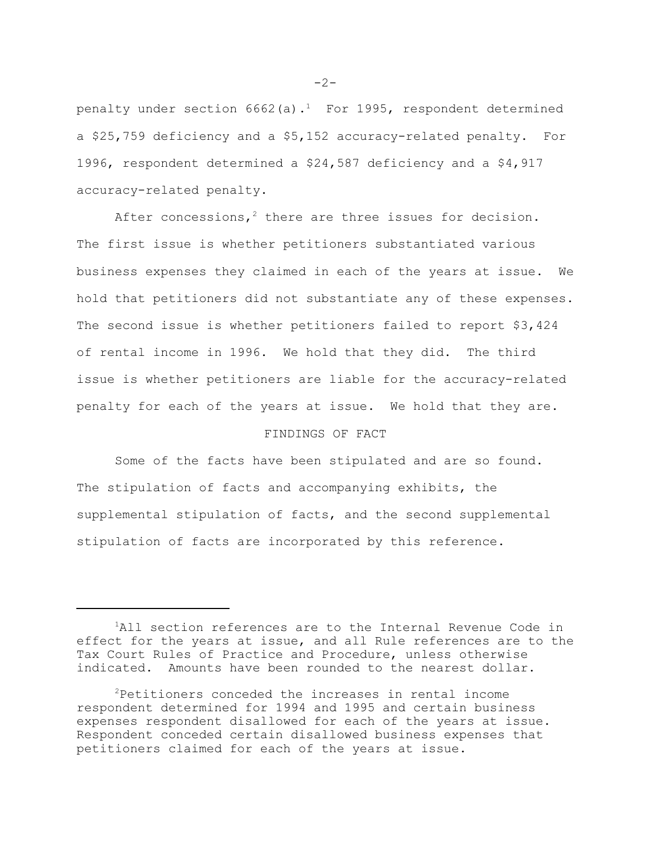penalty under section  $6662(a).$ <sup>1</sup> For 1995, respondent determined a \$25,759 deficiency and a \$5,152 accuracy-related penalty. For 1996, respondent determined a \$24,587 deficiency and a \$4,917 accuracy-related penalty.

After concessions,<sup>2</sup> there are three issues for decision. The first issue is whether petitioners substantiated various business expenses they claimed in each of the years at issue. We hold that petitioners did not substantiate any of these expenses. The second issue is whether petitioners failed to report \$3,424 of rental income in 1996. We hold that they did. The third issue is whether petitioners are liable for the accuracy-related penalty for each of the years at issue. We hold that they are.

# FINDINGS OF FACT

Some of the facts have been stipulated and are so found. The stipulation of facts and accompanying exhibits, the supplemental stipulation of facts, and the second supplemental stipulation of facts are incorporated by this reference.

 $-2-$ 

<sup>&</sup>lt;sup>1</sup>All section references are to the Internal Revenue Code in effect for the years at issue, and all Rule references are to the Tax Court Rules of Practice and Procedure, unless otherwise indicated. Amounts have been rounded to the nearest dollar.

<sup>2</sup>Petitioners conceded the increases in rental income respondent determined for 1994 and 1995 and certain business expenses respondent disallowed for each of the years at issue. Respondent conceded certain disallowed business expenses that petitioners claimed for each of the years at issue.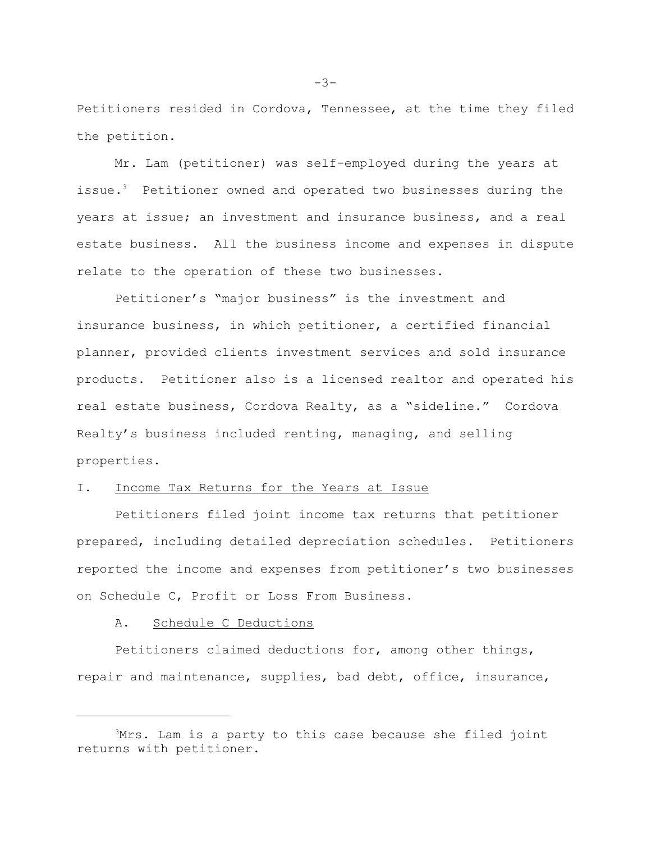Petitioners resided in Cordova, Tennessee, at the time they filed the petition.

Mr. Lam (petitioner) was self-employed during the years at issue.<sup>3</sup> Petitioner owned and operated two businesses during the years at issue; an investment and insurance business, and a real estate business. All the business income and expenses in dispute relate to the operation of these two businesses.

Petitioner's "major business" is the investment and insurance business, in which petitioner, a certified financial planner, provided clients investment services and sold insurance products. Petitioner also is a licensed realtor and operated his real estate business, Cordova Realty, as a "sideline." Cordova Realty's business included renting, managing, and selling properties.

## I. Income Tax Returns for the Years at Issue

Petitioners filed joint income tax returns that petitioner prepared, including detailed depreciation schedules. Petitioners reported the income and expenses from petitioner's two businesses on Schedule C, Profit or Loss From Business.

## A. Schedule C Deductions

Petitioners claimed deductions for, among other things, repair and maintenance, supplies, bad debt, office, insurance,

 $3Mrs$ . Lam is a party to this case because she filed joint returns with petitioner.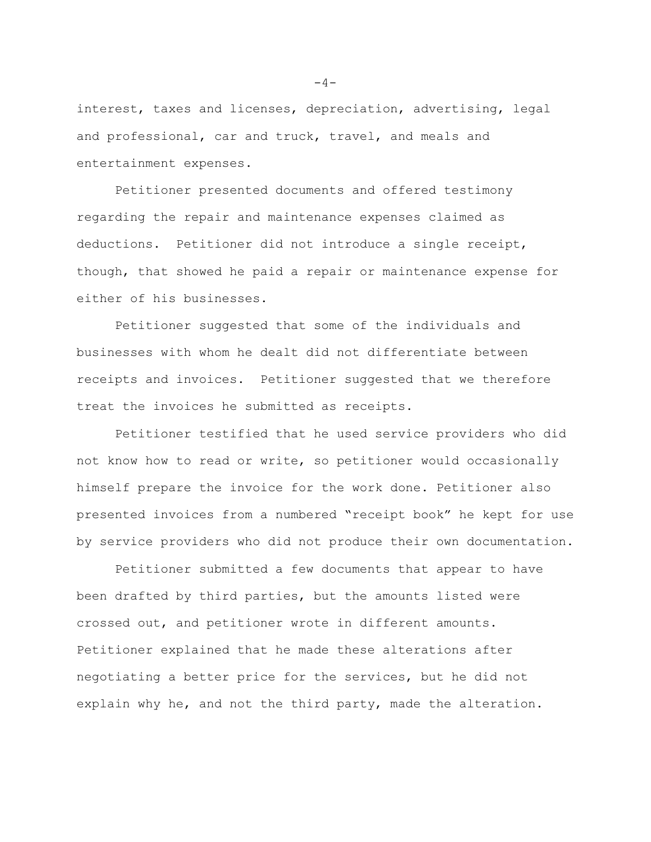interest, taxes and licenses, depreciation, advertising, legal and professional, car and truck, travel, and meals and entertainment expenses.

Petitioner presented documents and offered testimony regarding the repair and maintenance expenses claimed as deductions. Petitioner did not introduce a single receipt, though, that showed he paid a repair or maintenance expense for either of his businesses.

Petitioner suggested that some of the individuals and businesses with whom he dealt did not differentiate between receipts and invoices. Petitioner suggested that we therefore treat the invoices he submitted as receipts.

Petitioner testified that he used service providers who did not know how to read or write, so petitioner would occasionally himself prepare the invoice for the work done. Petitioner also presented invoices from a numbered "receipt book" he kept for use by service providers who did not produce their own documentation.

Petitioner submitted a few documents that appear to have been drafted by third parties, but the amounts listed were crossed out, and petitioner wrote in different amounts. Petitioner explained that he made these alterations after negotiating a better price for the services, but he did not explain why he, and not the third party, made the alteration.

 $-4-$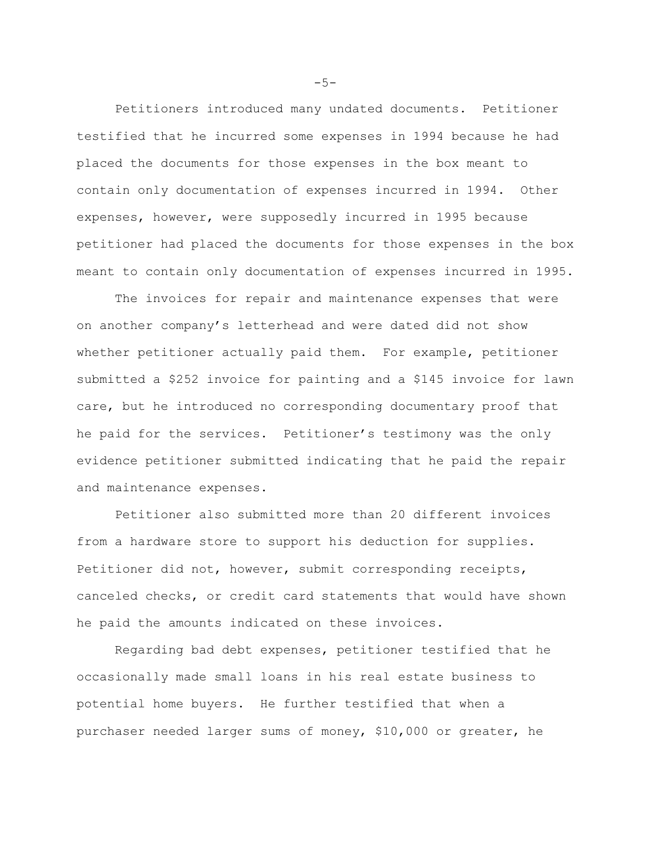Petitioners introduced many undated documents. Petitioner testified that he incurred some expenses in 1994 because he had placed the documents for those expenses in the box meant to contain only documentation of expenses incurred in 1994. Other expenses, however, were supposedly incurred in 1995 because petitioner had placed the documents for those expenses in the box meant to contain only documentation of expenses incurred in 1995.

The invoices for repair and maintenance expenses that were on another company's letterhead and were dated did not show whether petitioner actually paid them. For example, petitioner submitted a \$252 invoice for painting and a \$145 invoice for lawn care, but he introduced no corresponding documentary proof that he paid for the services. Petitioner's testimony was the only evidence petitioner submitted indicating that he paid the repair and maintenance expenses.

Petitioner also submitted more than 20 different invoices from a hardware store to support his deduction for supplies. Petitioner did not, however, submit corresponding receipts, canceled checks, or credit card statements that would have shown he paid the amounts indicated on these invoices.

Regarding bad debt expenses, petitioner testified that he occasionally made small loans in his real estate business to potential home buyers. He further testified that when a purchaser needed larger sums of money, \$10,000 or greater, he

 $-5-$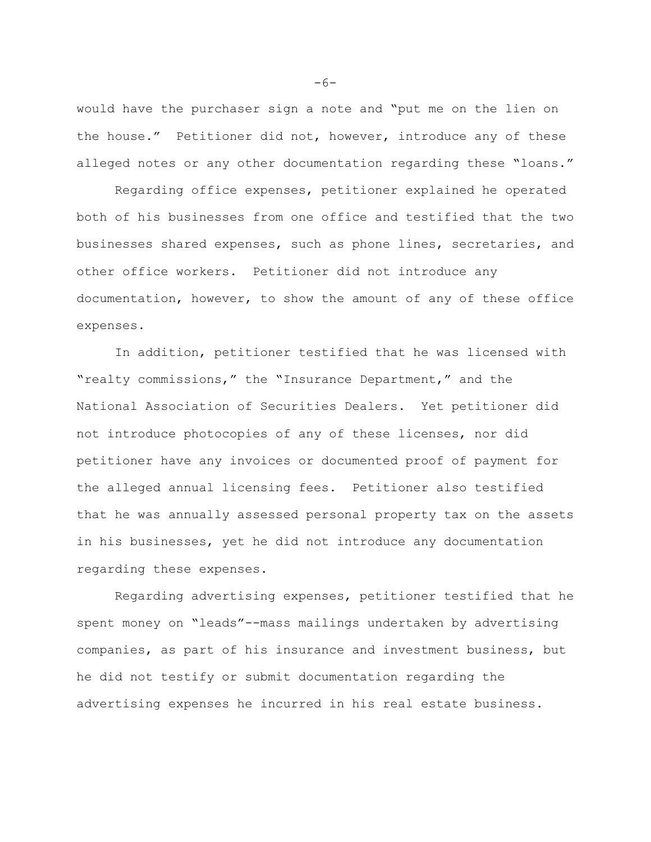would have the purchaser sign a note and "put me on the lien on the house." Petitioner did not, however, introduce any of these alleged notes or any other documentation regarding these "loans."

Regarding office expenses, petitioner explained he operated both of his businesses from one office and testified that the two businesses shared expenses, such as phone lines, secretaries, and other office workers. Petitioner did not introduce any documentation, however, to show the amount of any of these office expenses.

In addition, petitioner testified that he was licensed with "realty commissions," the "Insurance Department," and the National Association of Securities Dealers. Yet petitioner did not introduce photocopies of any of these licenses, nor did petitioner have any invoices or documented proof of payment for the alleged annual licensing fees. Petitioner also testified that he was annually assessed personal property tax on the assets in his businesses, yet he did not introduce any documentation regarding these expenses.

Regarding advertising expenses, petitioner testified that he spent money on "leads"--mass mailings undertaken by advertising companies, as part of his insurance and investment business, but he did not testify or submit documentation regarding the advertising expenses he incurred in his real estate business.

 $-6-$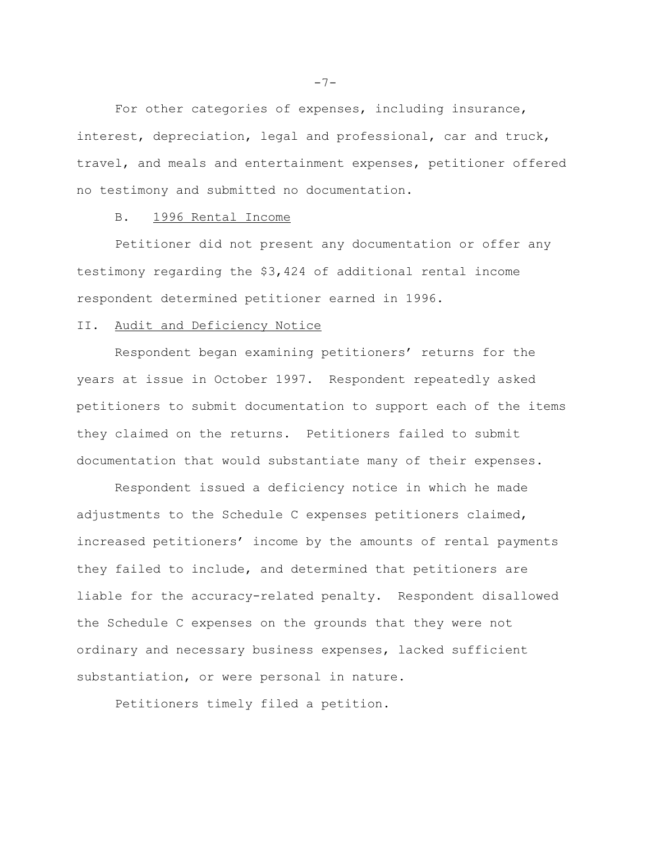For other categories of expenses, including insurance, interest, depreciation, legal and professional, car and truck, travel, and meals and entertainment expenses, petitioner offered no testimony and submitted no documentation.

## B. 1996 Rental Income

Petitioner did not present any documentation or offer any testimony regarding the \$3,424 of additional rental income respondent determined petitioner earned in 1996.

## II. Audit and Deficiency Notice

Respondent began examining petitioners' returns for the years at issue in October 1997. Respondent repeatedly asked petitioners to submit documentation to support each of the items they claimed on the returns. Petitioners failed to submit documentation that would substantiate many of their expenses.

Respondent issued a deficiency notice in which he made adjustments to the Schedule C expenses petitioners claimed, increased petitioners' income by the amounts of rental payments they failed to include, and determined that petitioners are liable for the accuracy-related penalty. Respondent disallowed the Schedule C expenses on the grounds that they were not ordinary and necessary business expenses, lacked sufficient substantiation, or were personal in nature.

Petitioners timely filed a petition.

 $-7-$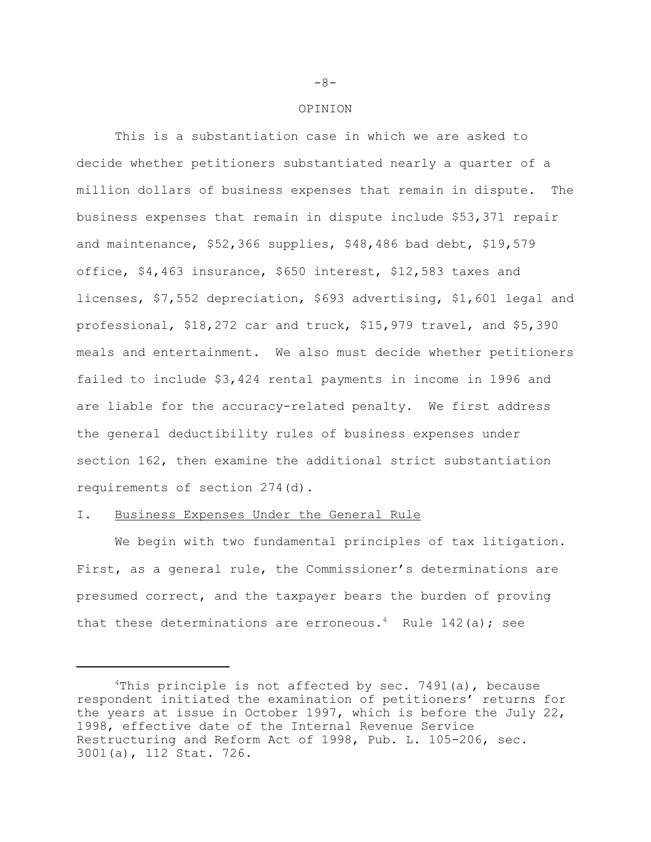#### OPINION

This is a substantiation case in which we are asked to decide whether petitioners substantiated nearly a quarter of a million dollars of business expenses that remain in dispute. The business expenses that remain in dispute include \$53,371 repair and maintenance, \$52,366 supplies, \$48,486 bad debt, \$19,579 office, \$4,463 insurance, \$650 interest, \$12,583 taxes and licenses, \$7,552 depreciation, \$693 advertising, \$1,601 legal and professional, \$18,272 car and truck, \$15,979 travel, and \$5,390 meals and entertainment. We also must decide whether petitioners failed to include \$3,424 rental payments in income in 1996 and are liable for the accuracy-related penalty. We first address the general deductibility rules of business expenses under section 162, then examine the additional strict substantiation requirements of section 274(d).

## I. Business Expenses Under the General Rule

We begin with two fundamental principles of tax litigation. First, as a general rule, the Commissioner's determinations are presumed correct, and the taxpayer bears the burden of proving that these determinations are erroneous.<sup>4</sup> Rule 142(a); see

 $-8-$ 

<sup>&</sup>lt;sup>4</sup>This principle is not affected by sec. 7491(a), because respondent initiated the examination of petitioners' returns for the years at issue in October 1997, which is before the July 22, 1998, effective date of the Internal Revenue Service Restructuring and Reform Act of 1998, Pub. L. 105-206, sec. 3001(a), 112 Stat. 726.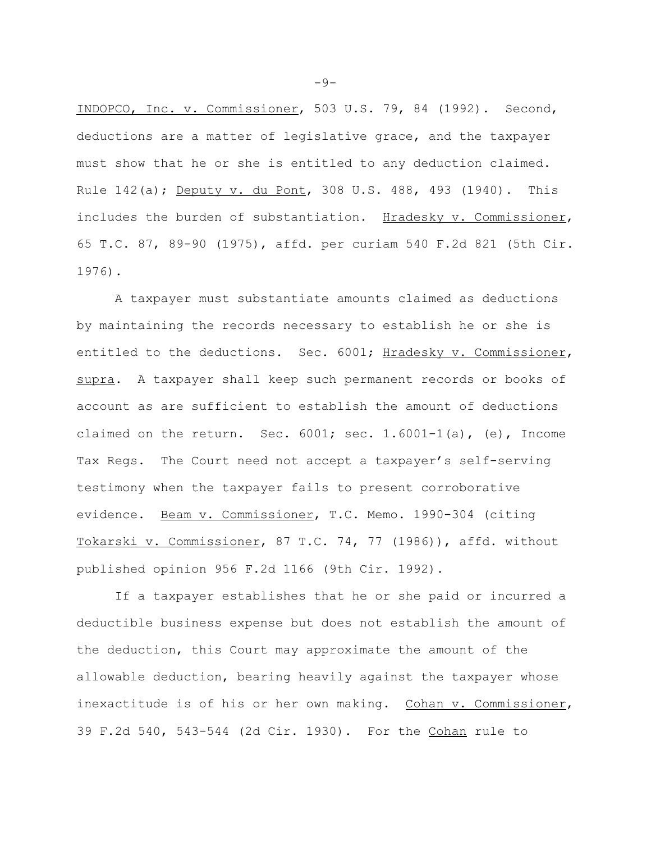INDOPCO, Inc. v. Commissioner, 503 U.S. 79, 84 (1992). Second, deductions are a matter of legislative grace, and the taxpayer must show that he or she is entitled to any deduction claimed. Rule 142(a); Deputy v. du Pont, 308 U.S. 488, 493 (1940). This includes the burden of substantiation. Hradesky v. Commissioner, 65 T.C. 87, 89-90 (1975), affd. per curiam 540 F.2d 821 (5th Cir. 1976).

A taxpayer must substantiate amounts claimed as deductions by maintaining the records necessary to establish he or she is entitled to the deductions. Sec. 6001; Hradesky v. Commissioner, supra. A taxpayer shall keep such permanent records or books of account as are sufficient to establish the amount of deductions claimed on the return. Sec.  $6001$ ; sec.  $1.6001-1$  (a), (e), Income Tax Regs. The Court need not accept a taxpayer's self-serving testimony when the taxpayer fails to present corroborative evidence. Beam v. Commissioner, T.C. Memo. 1990-304 (citing Tokarski v. Commissioner, 87 T.C. 74, 77 (1986)), affd. without published opinion 956 F.2d 1166 (9th Cir. 1992).

If a taxpayer establishes that he or she paid or incurred a deductible business expense but does not establish the amount of the deduction, this Court may approximate the amount of the allowable deduction, bearing heavily against the taxpayer whose inexactitude is of his or her own making. Cohan v. Commissioner, 39 F.2d 540, 543-544 (2d Cir. 1930). For the Cohan rule to

 $-9-$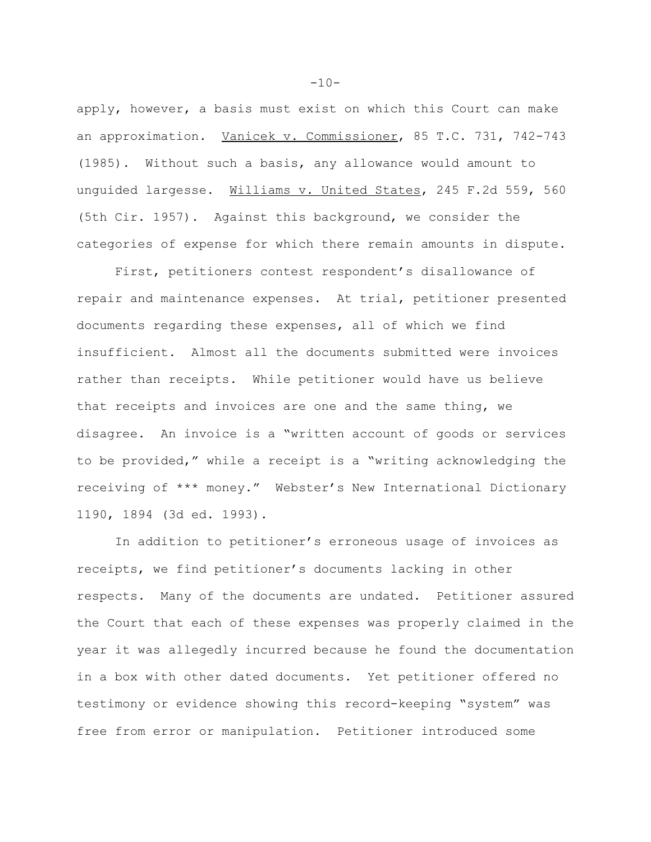apply, however, a basis must exist on which this Court can make an approximation. Vanicek v. Commissioner, 85 T.C. 731, 742-743 (1985). Without such a basis, any allowance would amount to unguided largesse. Williams v. United States, 245 F.2d 559, 560 (5th Cir. 1957). Against this background, we consider the categories of expense for which there remain amounts in dispute.

First, petitioners contest respondent's disallowance of repair and maintenance expenses. At trial, petitioner presented documents regarding these expenses, all of which we find insufficient. Almost all the documents submitted were invoices rather than receipts. While petitioner would have us believe that receipts and invoices are one and the same thing, we disagree. An invoice is a "written account of goods or services to be provided," while a receipt is a "writing acknowledging the receiving of \*\*\* money." Webster's New International Dictionary 1190, 1894 (3d ed. 1993).

In addition to petitioner's erroneous usage of invoices as receipts, we find petitioner's documents lacking in other respects. Many of the documents are undated. Petitioner assured the Court that each of these expenses was properly claimed in the year it was allegedly incurred because he found the documentation in a box with other dated documents. Yet petitioner offered no testimony or evidence showing this record-keeping "system" was free from error or manipulation. Petitioner introduced some

 $-10-$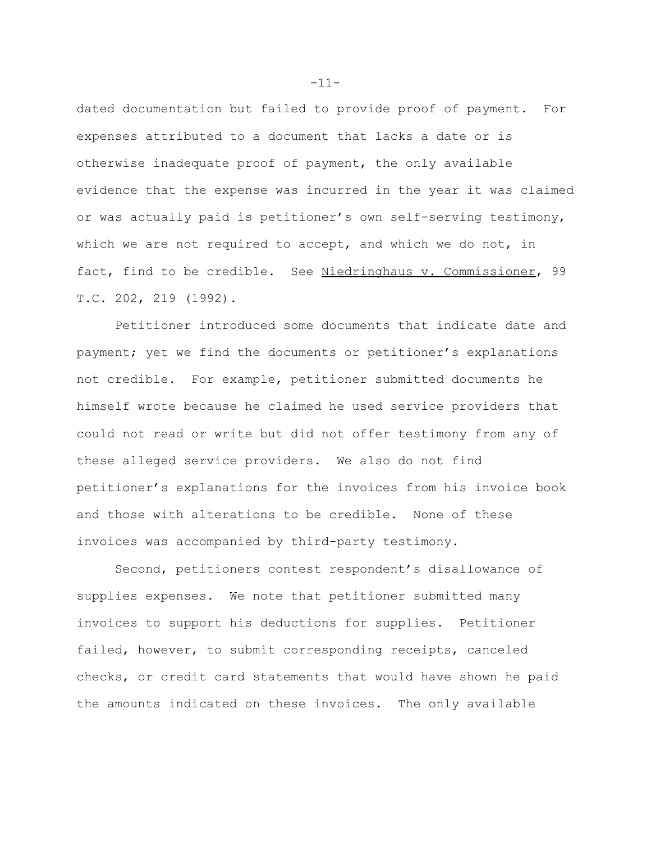dated documentation but failed to provide proof of payment. For expenses attributed to a document that lacks a date or is otherwise inadequate proof of payment, the only available evidence that the expense was incurred in the year it was claimed or was actually paid is petitioner's own self-serving testimony, which we are not required to accept, and which we do not, in fact, find to be credible. See Niedringhaus v. Commissioner, 99 T.C. 202, 219 (1992).

Petitioner introduced some documents that indicate date and payment; yet we find the documents or petitioner's explanations not credible. For example, petitioner submitted documents he himself wrote because he claimed he used service providers that could not read or write but did not offer testimony from any of these alleged service providers. We also do not find petitioner's explanations for the invoices from his invoice book and those with alterations to be credible. None of these invoices was accompanied by third-party testimony.

Second, petitioners contest respondent's disallowance of supplies expenses. We note that petitioner submitted many invoices to support his deductions for supplies. Petitioner failed, however, to submit corresponding receipts, canceled checks, or credit card statements that would have shown he paid the amounts indicated on these invoices. The only available

-11-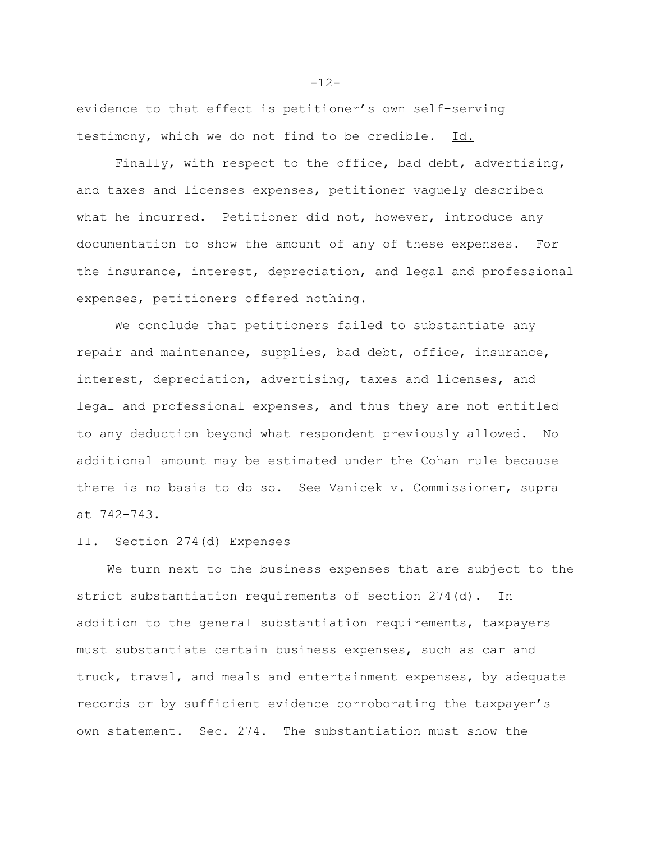evidence to that effect is petitioner's own self-serving testimony, which we do not find to be credible. Id.

Finally, with respect to the office, bad debt, advertising, and taxes and licenses expenses, petitioner vaguely described what he incurred. Petitioner did not, however, introduce any documentation to show the amount of any of these expenses. For the insurance, interest, depreciation, and legal and professional expenses, petitioners offered nothing.

We conclude that petitioners failed to substantiate any repair and maintenance, supplies, bad debt, office, insurance, interest, depreciation, advertising, taxes and licenses, and legal and professional expenses, and thus they are not entitled to any deduction beyond what respondent previously allowed. No additional amount may be estimated under the Cohan rule because there is no basis to do so. See Vanicek v. Commissioner, supra at 742-743.

#### II. Section 274(d) Expenses

 We turn next to the business expenses that are subject to the strict substantiation requirements of section 274(d). In addition to the general substantiation requirements, taxpayers must substantiate certain business expenses, such as car and truck, travel, and meals and entertainment expenses, by adequate records or by sufficient evidence corroborating the taxpayer's own statement. Sec. 274. The substantiation must show the

 $-12-$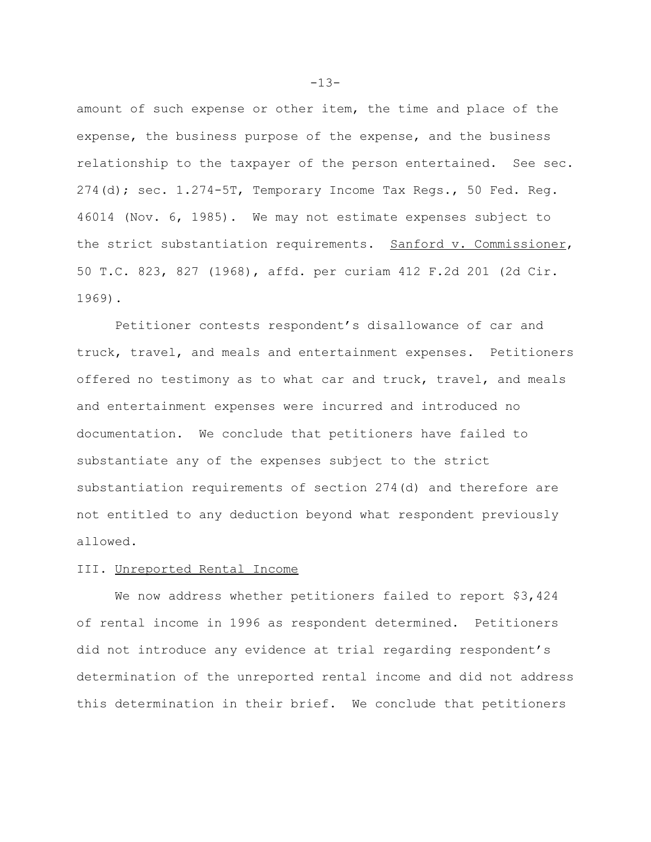amount of such expense or other item, the time and place of the expense, the business purpose of the expense, and the business relationship to the taxpayer of the person entertained. See sec. 274(d); sec. 1.274-5T, Temporary Income Tax Regs., 50 Fed. Reg. 46014 (Nov. 6, 1985). We may not estimate expenses subject to the strict substantiation requirements. Sanford v. Commissioner, 50 T.C. 823, 827 (1968), affd. per curiam 412 F.2d 201 (2d Cir. 1969).

Petitioner contests respondent's disallowance of car and truck, travel, and meals and entertainment expenses. Petitioners offered no testimony as to what car and truck, travel, and meals and entertainment expenses were incurred and introduced no documentation. We conclude that petitioners have failed to substantiate any of the expenses subject to the strict substantiation requirements of section 274(d) and therefore are not entitled to any deduction beyond what respondent previously allowed.

## III. Unreported Rental Income

We now address whether petitioners failed to report \$3,424 of rental income in 1996 as respondent determined. Petitioners did not introduce any evidence at trial regarding respondent's determination of the unreported rental income and did not address this determination in their brief. We conclude that petitioners

-13-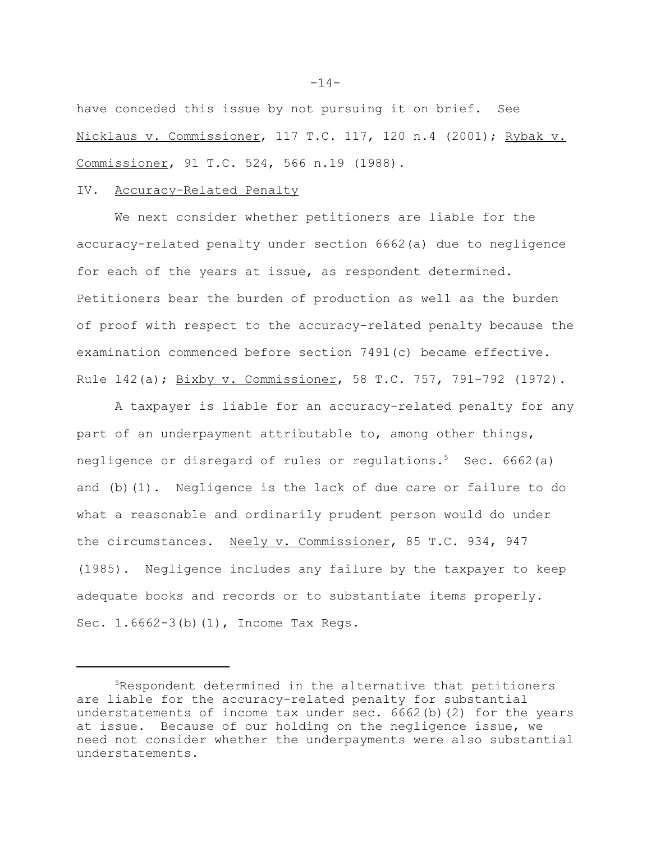have conceded this issue by not pursuing it on brief. See Nicklaus v. Commissioner, 117 T.C. 117, 120 n.4 (2001); Rybak v. Commissioner, 91 T.C. 524, 566 n.19 (1988).

#### IV. Accuracy-Related Penalty

We next consider whether petitioners are liable for the accuracy-related penalty under section 6662(a) due to negligence for each of the years at issue, as respondent determined. Petitioners bear the burden of production as well as the burden of proof with respect to the accuracy-related penalty because the examination commenced before section 7491(c) became effective. Rule 142(a); Bixby v. Commissioner, 58 T.C. 757, 791-792 (1972).

A taxpayer is liable for an accuracy-related penalty for any part of an underpayment attributable to, among other things, negligence or disregard of rules or regulations.<sup>5</sup> Sec.  $6662(a)$ and (b)(1). Negligence is the lack of due care or failure to do what a reasonable and ordinarily prudent person would do under the circumstances. Neely v. Commissioner, 85 T.C. 934, 947 (1985). Negligence includes any failure by the taxpayer to keep adequate books and records or to substantiate items properly. Sec. 1.6662-3(b)(1), Income Tax Regs.

 $-14-$ 

<sup>5</sup>Respondent determined in the alternative that petitioners are liable for the accuracy-related penalty for substantial understatements of income tax under sec. 6662(b)(2) for the years at issue. Because of our holding on the negligence issue, we need not consider whether the underpayments were also substantial understatements.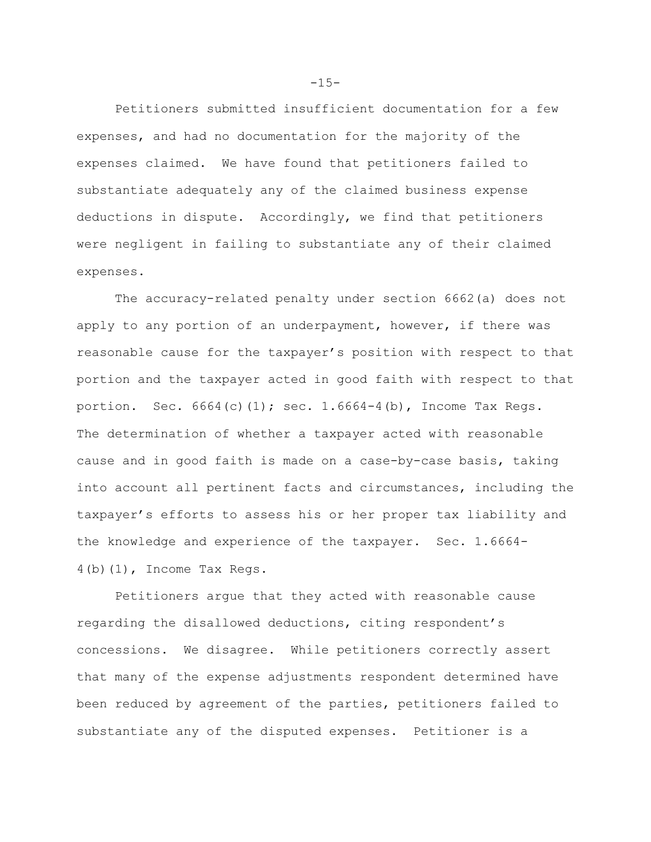Petitioners submitted insufficient documentation for a few expenses, and had no documentation for the majority of the expenses claimed. We have found that petitioners failed to substantiate adequately any of the claimed business expense deductions in dispute. Accordingly, we find that petitioners were negligent in failing to substantiate any of their claimed expenses.

The accuracy-related penalty under section 6662(a) does not apply to any portion of an underpayment, however, if there was reasonable cause for the taxpayer's position with respect to that portion and the taxpayer acted in good faith with respect to that portion. Sec.  $6664(c)(1)$ ; sec.  $1.6664-4(b)$ , Income Tax Regs. The determination of whether a taxpayer acted with reasonable cause and in good faith is made on a case-by-case basis, taking into account all pertinent facts and circumstances, including the taxpayer's efforts to assess his or her proper tax liability and the knowledge and experience of the taxpayer. Sec. 1.6664- 4(b)(1), Income Tax Regs.

Petitioners argue that they acted with reasonable cause regarding the disallowed deductions, citing respondent's concessions. We disagree. While petitioners correctly assert that many of the expense adjustments respondent determined have been reduced by agreement of the parties, petitioners failed to substantiate any of the disputed expenses. Petitioner is a

 $-15-$